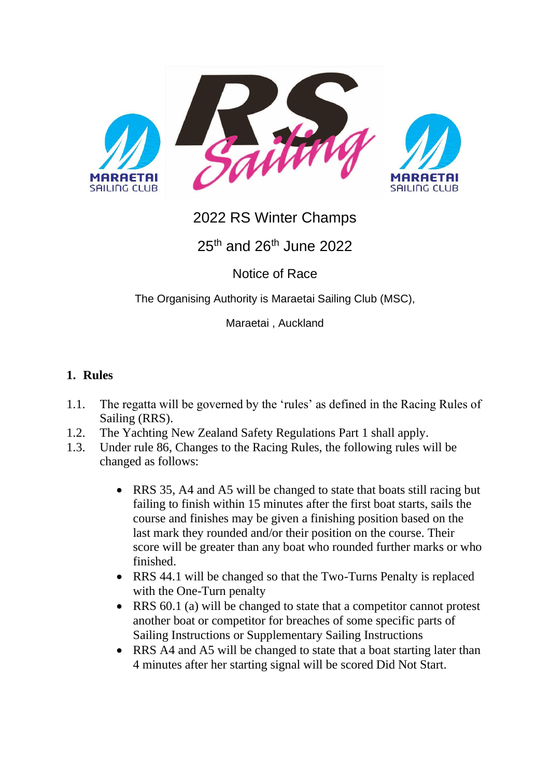

# 2022 RS Winter Champs

25<sup>th</sup> and 26<sup>th</sup> June 2022

Notice of Race

The Organising Authority is Maraetai Sailing Club (MSC),

Maraetai , Auckland

#### **1. Rules**

- 1.1. The regatta will be governed by the 'rules' as defined in the Racing Rules of Sailing (RRS).
- 1.2. The Yachting New Zealand Safety Regulations Part 1 shall apply.
- 1.3. Under rule 86, Changes to the Racing Rules, the following rules will be changed as follows:
	- RRS 35, A4 and A5 will be changed to state that boats still racing but failing to finish within 15 minutes after the first boat starts, sails the course and finishes may be given a finishing position based on the last mark they rounded and/or their position on the course. Their score will be greater than any boat who rounded further marks or who finished.
	- RRS 44.1 will be changed so that the Two-Turns Penalty is replaced with the One-Turn penalty
	- RRS 60.1 (a) will be changed to state that a competitor cannot protest another boat or competitor for breaches of some specific parts of Sailing Instructions or Supplementary Sailing Instructions
	- RRS A4 and A5 will be changed to state that a boat starting later than 4 minutes after her starting signal will be scored Did Not Start.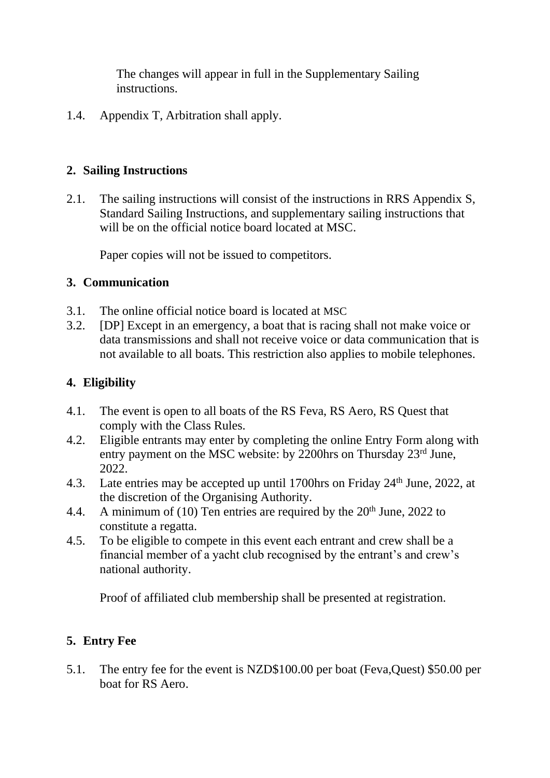The changes will appear in full in the Supplementary Sailing instructions.

1.4. Appendix T, Arbitration shall apply.

#### **2. Sailing Instructions**

2.1. The sailing instructions will consist of the instructions in RRS Appendix S, Standard Sailing Instructions, and supplementary sailing instructions that will be on the official notice board located at MSC.

Paper copies will not be issued to competitors.

# **3. Communication**

- 3.1. The online official notice board is located at MSC
- 3.2. [DP] Except in an emergency, a boat that is racing shall not make voice or data transmissions and shall not receive voice or data communication that is not available to all boats. This restriction also applies to mobile telephones.

# **4. Eligibility**

- 4.1. The event is open to all boats of the RS Feva, RS Aero, RS Quest that comply with the Class Rules.
- 4.2. Eligible entrants may enter by completing the online Entry Form along with entry payment on the MSC website: by 2200hrs on Thursday 23rd June, 2022.
- 4.3. Late entries may be accepted up until 1700hrs on Friday 24<sup>th</sup> June, 2022, at the discretion of the Organising Authority.
- 4.4. A minimum of (10) Ten entries are required by the  $20<sup>th</sup>$  June, 2022 to constitute a regatta.
- 4.5. To be eligible to compete in this event each entrant and crew shall be a financial member of a yacht club recognised by the entrant's and crew's national authority.

Proof of affiliated club membership shall be presented at registration.

# **5. Entry Fee**

5.1. The entry fee for the event is NZD\$100.00 per boat (Feva,Quest) \$50.00 per boat for RS Aero.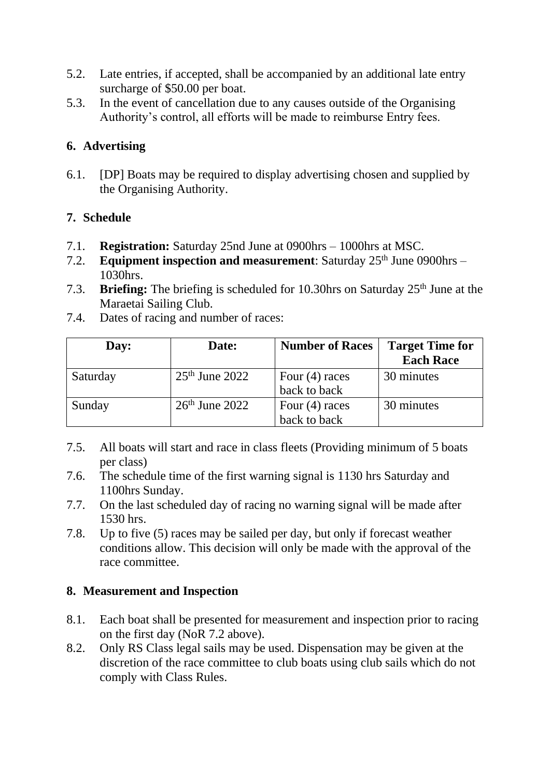- 5.2. Late entries, if accepted, shall be accompanied by an additional late entry surcharge of \$50.00 per boat.
- 5.3. In the event of cancellation due to any causes outside of the Organising Authority's control, all efforts will be made to reimburse Entry fees.

### **6. Advertising**

6.1. [DP] Boats may be required to display advertising chosen and supplied by the Organising Authority.

#### **7. Schedule**

- 7.1. **Registration:** Saturday 25nd June at 0900hrs 1000hrs at MSC.
- 7.2. **Equipment inspection and measurement**: Saturday 25<sup>th</sup> June 0900hrs -1030hrs.
- 7.3. **Briefing:** The briefing is scheduled for 10.30hrs on Saturday 25<sup>th</sup> June at the Maraetai Sailing Club.

| Day:     | Date:            | <b>Number of Races</b>           | <b>Target Time for</b><br><b>Each Race</b> |
|----------|------------------|----------------------------------|--------------------------------------------|
| Saturday | $25th$ June 2022 | Four $(4)$ races<br>back to back | 30 minutes                                 |
| Sunday   | $26th$ June 2022 | Four $(4)$ races<br>back to back | 30 minutes                                 |

7.4. Dates of racing and number of races:

- 7.5. All boats will start and race in class fleets (Providing minimum of 5 boats per class)
- 7.6. The schedule time of the first warning signal is 1130 hrs Saturday and 1100hrs Sunday.
- 7.7. On the last scheduled day of racing no warning signal will be made after 1530 hrs.
- 7.8. Up to five (5) races may be sailed per day, but only if forecast weather conditions allow. This decision will only be made with the approval of the race committee.

# **8. Measurement and Inspection**

- 8.1. Each boat shall be presented for measurement and inspection prior to racing on the first day (NoR 7.2 above).
- 8.2. Only RS Class legal sails may be used. Dispensation may be given at the discretion of the race committee to club boats using club sails which do not comply with Class Rules.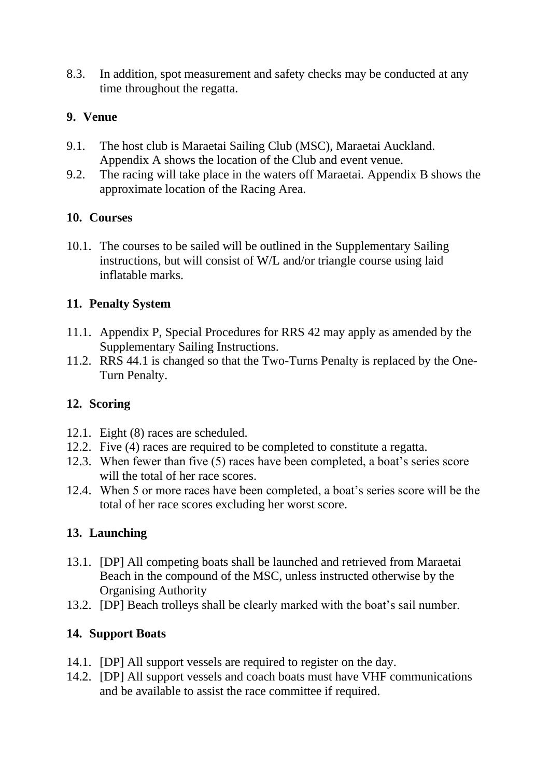8.3. In addition, spot measurement and safety checks may be conducted at any time throughout the regatta.

#### **9. Venue**

- 9.1. The host club is Maraetai Sailing Club (MSC), Maraetai Auckland. Appendix A shows the location of the Club and event venue.
- 9.2. The racing will take place in the waters off Maraetai. Appendix B shows the approximate location of the Racing Area.

#### **10. Courses**

10.1. The courses to be sailed will be outlined in the Supplementary Sailing instructions, but will consist of W/L and/or triangle course using laid inflatable marks.

#### **11. Penalty System**

- 11.1. Appendix P, Special Procedures for RRS 42 may apply as amended by the Supplementary Sailing Instructions.
- 11.2. RRS 44.1 is changed so that the Two-Turns Penalty is replaced by the One-Turn Penalty.

# **12. Scoring**

- 12.1. Eight (8) races are scheduled.
- 12.2. Five (4) races are required to be completed to constitute a regatta.
- 12.3. When fewer than five (5) races have been completed, a boat's series score will the total of her race scores.
- 12.4. When 5 or more races have been completed, a boat's series score will be the total of her race scores excluding her worst score.

# **13. Launching**

- 13.1. [DP] All competing boats shall be launched and retrieved from Maraetai Beach in the compound of the MSC, unless instructed otherwise by the Organising Authority
- 13.2. [DP] Beach trolleys shall be clearly marked with the boat's sail number.

# **14. Support Boats**

- 14.1. [DP] All support vessels are required to register on the day.
- 14.2. [DP] All support vessels and coach boats must have VHF communications and be available to assist the race committee if required.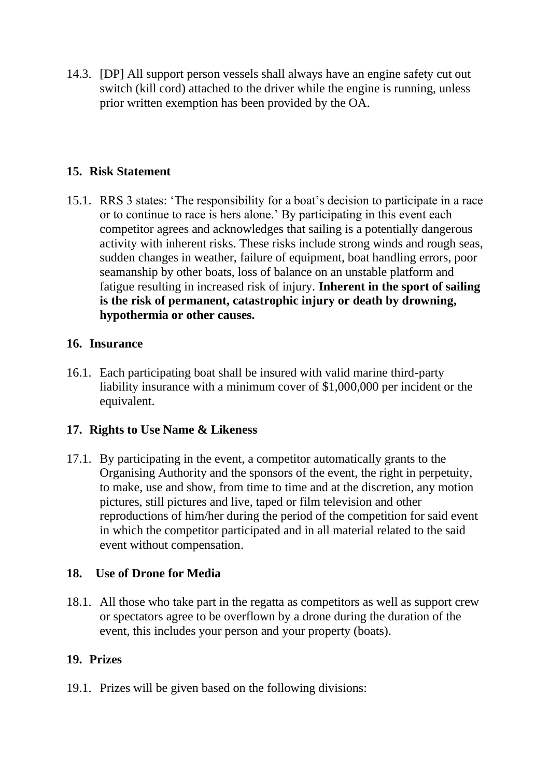14.3. [DP] All support person vessels shall always have an engine safety cut out switch (kill cord) attached to the driver while the engine is running, unless prior written exemption has been provided by the OA.

#### **15. Risk Statement**

15.1. RRS 3 states: 'The responsibility for a boat's decision to participate in a race or to continue to race is hers alone.' By participating in this event each competitor agrees and acknowledges that sailing is a potentially dangerous activity with inherent risks. These risks include strong winds and rough seas, sudden changes in weather, failure of equipment, boat handling errors, poor seamanship by other boats, loss of balance on an unstable platform and fatigue resulting in increased risk of injury. **Inherent in the sport of sailing is the risk of permanent, catastrophic injury or death by drowning, hypothermia or other causes.**

#### **16. Insurance**

16.1. Each participating boat shall be insured with valid marine third-party liability insurance with a minimum cover of \$1,000,000 per incident or the equivalent.

#### **17. Rights to Use Name & Likeness**

17.1. By participating in the event, a competitor automatically grants to the Organising Authority and the sponsors of the event, the right in perpetuity, to make, use and show, from time to time and at the discretion, any motion pictures, still pictures and live, taped or film television and other reproductions of him/her during the period of the competition for said event in which the competitor participated and in all material related to the said event without compensation.

#### **18. Use of Drone for Media**

18.1. All those who take part in the regatta as competitors as well as support crew or spectators agree to be overflown by a drone during the duration of the event, this includes your person and your property (boats).

#### **19. Prizes**

19.1. Prizes will be given based on the following divisions: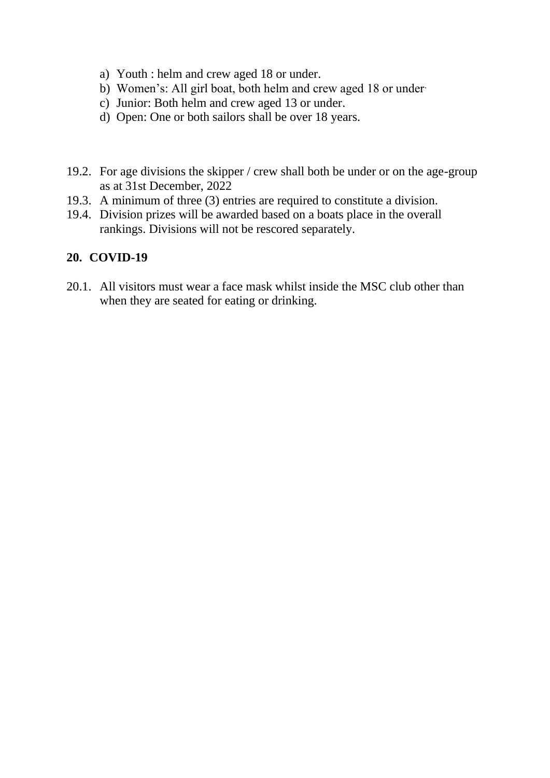- a) Youth : helm and crew aged 18 or under.
- b) Women's: All girl boat, both helm and crew aged 18 or under-
- c) Junior: Both helm and crew aged 13 or under.
- d) Open: One or both sailors shall be over 18 years.
- 19.2. For age divisions the skipper / crew shall both be under or on the age-group as at 31st December, 2022
- 19.3. A minimum of three (3) entries are required to constitute a division.
- 19.4. Division prizes will be awarded based on a boats place in the overall rankings. Divisions will not be rescored separately.

#### **20. COVID-19**

20.1. All visitors must wear a face mask whilst inside the MSC club other than when they are seated for eating or drinking.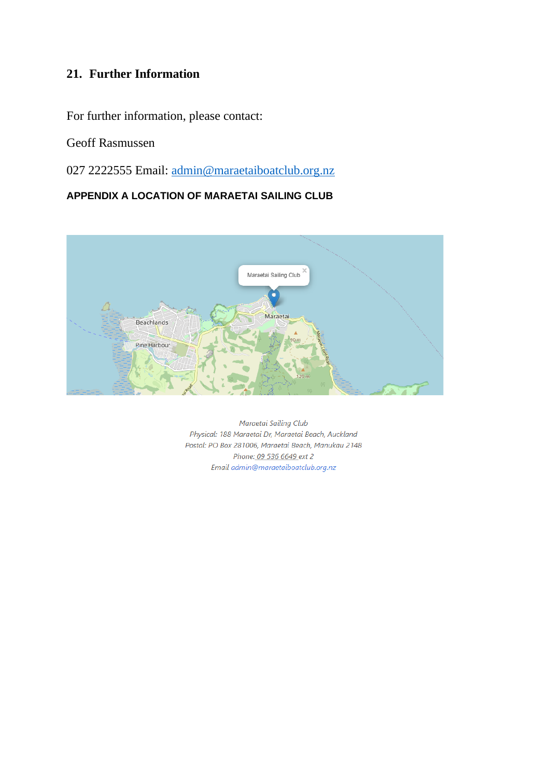# **21. Further Information**

For further information, please contact:

Geoff Rasmussen

027 2222555 Email: [admin@maraetaiboatclub.org.nz](mailto:admin@maraetaiboatclub.org.nz)

#### **APPENDIX A LOCATION OF MARAETAI SAILING CLUB**



Maraetai Sailing Club Physical: 188 Maraetai Dr, Maraetai Beach, Auckland Postal: PO Box 281006, Maraetai Beach, Manukau 2148 Phone: 09 536 6649 ext 2 Email admin@maraetaiboatclub.org.nz